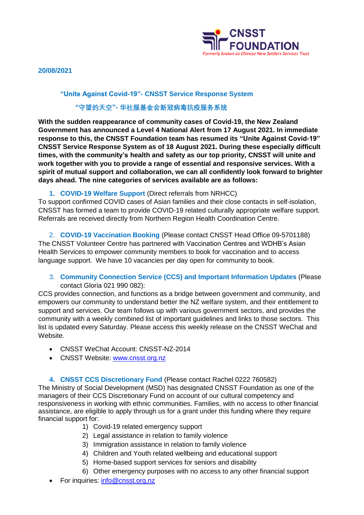

**20/08/2021**

## **"Unite Against Covid-19"- CNSST Service Response System**

# **"守望的天空"- 华社服基金会新冠病毒抗疫服务系统**

**With the sudden reappearance of community cases of Covid-19, the New Zealand Government has announced a Level 4 National Alert from 17 August 2021. In immediate response to this, the CNSST Foundation team has resumed its "Unite Against Covid-19" CNSST Service Response System as of 18 August 2021. During these especially difficult times, with the community's health and safety as our top priority, CNSST will unite and work together with you to provide a range of essential and responsive services. With a spirit of mutual support and collaboration, we can all confidently look forward to brighter days ahead. The nine categories of services available are as follows:**

# **1. COVID-19 Welfare Support** (Direct referrals from NRHCC)

To support confirmed COVID cases of Asian families and their close contacts in self-isolation, CNSST has formed a team to provide COVID-19 related culturally appropriate welfare support. Referrals are received directly from Northern Region Health Coordination Centre.

2. **COVID-19 Vaccination Booking** (Please contact CNSST Head Office 09-5701188) The CNSST Volunteer Centre has partnered with Vaccination Centres and WDHB's Asian Health Services to empower community members to book for vaccination and to access language support. We have 10 vacancies per day open for community to book.

3. **Community Connection Service (CCS) and Important Information Updates** (Please contact Gloria 021 990 082):

CCS provides connection, and functions as a bridge between government and community, and empowers our community to understand better the NZ welfare system, and their entitlement to support and services. Our team follows up with various government sectors, and provides the community with a weekly combined list of important guidelines and links to those sectors. This list is updated every Saturday. Please access this weekly release on the CNSST WeChat and Website.

- CNSST WeChat Account: CNSST-NZ-2014
- CNSST Website: [www.cnsst.org.nz](http://www.cnsst.org.nz/)

**4. CNSST CCS Discretionary Fund** (Please contact Rachel 0222 760582)

The Ministry of Social Development (MSD) has designated CNSST Foundation as one of the managers of their CCS Discretionary Fund on account of our cultural competency and responsiveness in working with ethnic communities. Families, with no access to other financial assistance, are eligible to apply through us for a grant under this funding where they require financial support for:

- 1) Covid-19 related emergency support
- 2) Legal assistance in relation to family violence
- 3) Immigration assistance in relation to family violence
- 4) Children and Youth related wellbeing and educational support
- 5) Home-based support services for seniors and disability
- 6) Other emergency purposes with no access to any other financial support
- For inquiries: [info@cnsst.org.nz](mailto:info@cnsst.org.nz)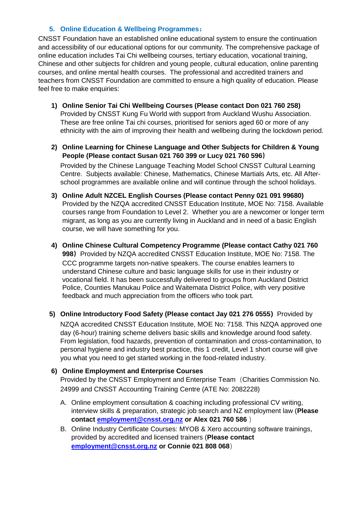# **5. Online Education & Wellbeing Programmes:**

CNSST Foundation have an established online educational system to ensure the continuation and accessibility of our educational options for our community. The comprehensive package of online education includes Tai Chi wellbeing courses, tertiary education, vocational training, Chinese and other subjects for children and young people, cultural education, online parenting courses, and online mental health courses. The professional and accredited trainers and teachers from CNSST Foundation are committed to ensure a high quality of education. Please feel free to make enquiries:

- **1) Online Senior Tai Chi Wellbeing Courses (Please contact Don 021 760 258)** Provided by CNSST Kung Fu World with support from Auckland Wushu Association. These are free online Tai chi courses, prioritised for seniors aged 60 or more of any ethnicity with the aim of improving their health and wellbeing during the lockdown period.
- **2) Online Learning for Chinese Language and Other Subjects for Children & Young People (Please contact Susan 021 760 399 or Lucy 021 760 596)**

Provided by the Chinese Language Teaching Model School CNSST Cultural Learning Centre. Subjects available: Chinese, Mathematics, Chinese Martials Arts, etc. All Afterschool programmes are available online and will continue through the school holidays.

- **3) Online Adult NZCEL English Courses (Please contact Penny 021 091 99680)** Provided by the NZQA accredited CNSST Education Institute, MOE No: 7158. Available courses range from Foundation to Level 2. Whether you are a newcomer or longer term migrant, as long as you are currently living in Auckland and in need of a basic English course, we will have something for you.
- **4) Online Chinese Cultural Competency Programme (Please contact Cathy 021 760 998)**Provided by NZQA accredited CNSST Education Institute, MOE No: 7158. The CCC programme targets non-native speakers. The course enables learners to understand Chinese culture and basic language skills for use in their industry or vocational field. It has been successfully delivered to groups from Auckland District Police, Counties Manukau Police and Waitemata District Police, with very positive feedback and much appreciation from the officers who took part.
- **5) Online Introductory Food Safety (Please contact Jay 021 276 0555)**Provided by

NZQA accredited CNSST Education Institute, MOE No: 7158. This NZQA approved one day (6-hour) training scheme delivers basic skills and knowledge around food safety. From legislation, food hazards, prevention of contamination and cross-contamination, to personal hygiene and industry best practice, this 1 credit, Level 1 short course will give you what you need to get started working in the food-related industry.

## **6) Online Employment and Enterprise Courses**

Provided by the CNSST Employment and Enterprise Team (Charities Commission No. 24999 and CNSST Accounting Training Centre (ATE No: 2082228)

- A. Online employment consultation & coaching including professional CV writing, interview skills & preparation, strategic job search and NZ employment law (**Please contact [employment@cnsst.org.nz](mailto:employment@cnsst.org.nz) or Alex 021 760 586** )
- B. Online Industry Certificate Courses: MYOB & Xero accounting software trainings, provided by accredited and licensed trainers (**Please contact [employment@cnsst.org.nz](mailto:employment@cnsst.org.nz) or Connie 021 808 068**)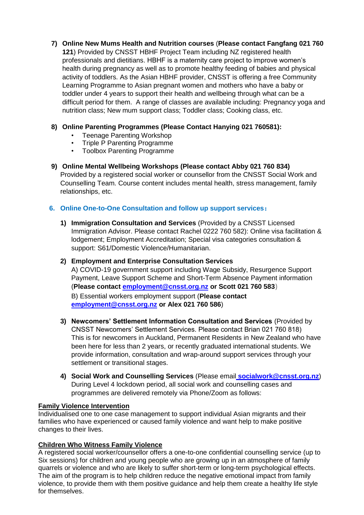**7) Online New Mums Health and Nutrition courses** (**Please contact Fangfang 021 760 121**) Provided by CNSST HBHF Project Team including NZ registered health professionals and dietitians. HBHF is a maternity care project to improve women's health during pregnancy as well as to promote healthy feeding of babies and physical activity of toddlers. As the Asian HBHF provider, CNSST is offering a free Community Learning Programme to Asian pregnant women and mothers who have a baby or toddler under 4 years to support their health and wellbeing through what can be a difficult period for them. A range of classes are available including: Pregnancy yoga and

# **8) Online Parenting Programmes (Please Contact Hanying 021 760581):**

nutrition class; New mum support class; Toddler class; Cooking class, etc.

- Teenage Parenting Workshop
- Triple P Parenting Programme
- Toolbox Parenting Programme

**9) Online Mental Wellbeing Workshops (Please contact Abby 021 760 834)** Provided by a registered social worker or counsellor from the CNSST Social Work and Counselling Team. Course content includes mental health, stress management, family relationships, etc.

# **6. Online One-to-One Consultation and follow up support services:**

- **1) Immigration Consultation and Services** (Provided by a CNSST Licensed Immigration Advisor. Please contact Rachel 0222 760 582): Online visa facilitation & lodgement; Employment Accreditation; Special visa categories consultation & support: S61/Domestic Violence/Humanitarian.
- **2) Employment and Enterprise Consultation Services** A) COVID-19 government support including Wage Subsidy, Resurgence Support Payment, Leave Support Scheme and Short-Term Absence Payment information (**Please contact [employment@cnsst.org.nz](mailto:employment@cnsst.org.nz) or Scott 021 760 583**) B) Essential workers employment support (**Please contact [employment@cnsst.org.nz](mailto:employment@cnsst.org.nz) or Alex 021 760 586**)
- **3) Newcomers' Settlement Information Consultation and Services** (Provided by CNSST Newcomers' Settlement Services. Please contact Brian 021 760 818) This is for newcomers in Auckland, Permanent Residents in New Zealand who have been here for less than 2 years, or recently graduated international students. We provide information, consultation and wrap-around support services through your settlement or transitional stages.
- **4) Social Work and Counselling Services** (Please email **[socialwork@cnsst.org.nz](mailto:socialwork@cnsst.org.nz)**) During Level 4 lockdown period, all social work and counselling cases and programmes are delivered remotely via Phone/Zoom as follows:

## **Family Violence Intervention**

Individualised one to one case management to support individual Asian migrants and their families who have experienced or caused family violence and want help to make positive changes to their lives.

## **Children Who Witness Family Violence**

A registered social worker/counsellor offers a one-to-one confidential counselling service (up to Six sessions) for children and young people who are growing up in an atmosphere of family quarrels or violence and who are likely to suffer short-term or long-term psychological effects. The aim of the program is to help children reduce the negative emotional impact from family violence, to provide them with them positive guidance and help them create a healthy life style for themselves.